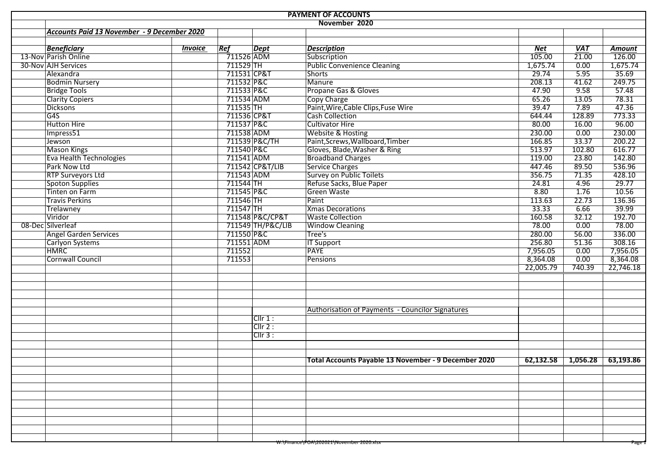| Accounts Paid 13 November - 9 December 2020<br><b>Beneficiary</b><br>Ref<br><b>Dept</b><br><b>Description</b><br><b>VAT</b><br><b>Net</b><br><b>Amount</b><br><i><b>Invoice</b></i><br>13-Nov Parish Online<br>711526 ADM<br>105.00<br>21.00<br>126.00<br>Subscription<br>30-Nov AJH Services<br>$711529$ TH<br><b>Public Convenience Cleaning</b><br>1,675.74<br>0.00<br>1,675.74<br>711531 CP&T<br>35.69<br>5.95<br><b>Shorts</b><br>29.74<br>Alexandra<br>249.75<br>711532 P&C<br>208.13<br><b>Bodmin Nursery</b><br>Manure<br>41.62<br>57.48<br>711533 P&C<br>47.90<br>9.58<br>Propane Gas & Gloves<br><b>Bridge Tools</b><br>78.31<br>65.26<br>13.05<br><b>Clarity Copiers</b><br>711534 ADM<br>Copy Charge<br>47.36<br>39.47<br>7.89<br>711535 TH<br>Paint, Wire, Cable Clips, Fuse Wire<br><b>Dicksons</b><br>Cash Collection<br>711536 CP&T<br>773.33<br>644.44<br>G <sub>4S</sub><br>128.89<br>96.00<br>711537 P&C<br><b>Cultivator Hire</b><br>80.00<br>Hutton Hire<br>16.00<br>230.00<br>711538 ADM<br>Website & Hosting<br>230.00<br>0.00<br>Impress51<br>200.22<br>Paint, Screws, Wallboard, Timber<br>166.85<br>33.37<br>711539 P&C/TH<br>Jewson<br>616.77<br>513.97<br>711540 P&C<br>Gloves, Blade, Washer & Ring<br>102.80<br><b>Mason Kings</b><br>711541 ADM<br><b>Broadband Charges</b><br>142.80<br>119.00<br>23.80<br>Eva Health Technologies<br>536.96<br>Park Now Ltd<br>711542 CP&T/LIB<br>Service Charges<br>89.50<br>447.46<br>428.10<br><b>Survey on Public Toilets</b><br>356.75<br>71.35<br><b>RTP Surveyors Ltd</b><br>711543 ADM<br>Refuse Sacks, Blue Paper<br>29.77<br><b>Spoton Supplies</b><br>711544 TH<br>24.81<br>4.96<br>8.80<br>10.56<br>Tinten on Farm<br>711545 P&C<br><b>Green Waste</b><br>1.76<br>136.36<br>711546 TH<br>113.63<br>22.73<br><b>Travis Perkins</b><br>Paint<br>39.99<br>711547 TH<br>33.33<br>6.66<br>Trelawney<br><b>Xmas Decorations</b><br>32.12<br>192.70<br>Viridor<br>711548 P&C/CP&T<br><b>Waste Collection</b><br>160.58<br>78.00<br>08-Dec Silverleaf<br>711549 TH/P&C/LIB<br>78.00<br>0.00<br><b>Window Cleaning</b><br>711550 P&C<br>Tree's<br>280.00<br>336.00<br>56.00<br><b>Angel Garden Services</b><br>711551 ADM<br>308.16<br><b>IT Support</b><br>256.80<br>Carlyon Systems<br>51.36<br>7,956.05<br><b>HMRC</b><br>711552<br><b>PAYE</b><br>7,956.05<br>0.00<br>0.00<br>8,364.08<br><b>Cornwall Council</b><br>711553<br>8,364.08<br><b>Pensions</b><br>22,005.79<br>740.39<br>22,746.18<br><b>Authorisation of Payments - Councilor Signatures</b><br>Cllr 1:<br>Clir 2:<br>ClIr 3:<br>Total Accounts Payable 13 November - 9 December 2020<br>W:\Finance\POA\202021\November 2020.xlsx |  | <b>PAYMENT OF ACCOUNTS</b> |  |  |  |               |  |  |        |  |  |  |
|------------------------------------------------------------------------------------------------------------------------------------------------------------------------------------------------------------------------------------------------------------------------------------------------------------------------------------------------------------------------------------------------------------------------------------------------------------------------------------------------------------------------------------------------------------------------------------------------------------------------------------------------------------------------------------------------------------------------------------------------------------------------------------------------------------------------------------------------------------------------------------------------------------------------------------------------------------------------------------------------------------------------------------------------------------------------------------------------------------------------------------------------------------------------------------------------------------------------------------------------------------------------------------------------------------------------------------------------------------------------------------------------------------------------------------------------------------------------------------------------------------------------------------------------------------------------------------------------------------------------------------------------------------------------------------------------------------------------------------------------------------------------------------------------------------------------------------------------------------------------------------------------------------------------------------------------------------------------------------------------------------------------------------------------------------------------------------------------------------------------------------------------------------------------------------------------------------------------------------------------------------------------------------------------------------------------------------------------------------------------------------------------------------------------------------------------------------------------------------------------------------------------------------------------------------------------------------------------------------------------------------------------------------------------|--|----------------------------|--|--|--|---------------|--|--|--------|--|--|--|
|                                                                                                                                                                                                                                                                                                                                                                                                                                                                                                                                                                                                                                                                                                                                                                                                                                                                                                                                                                                                                                                                                                                                                                                                                                                                                                                                                                                                                                                                                                                                                                                                                                                                                                                                                                                                                                                                                                                                                                                                                                                                                                                                                                                                                                                                                                                                                                                                                                                                                                                                                                                                                                                                        |  |                            |  |  |  | November 2020 |  |  |        |  |  |  |
|                                                                                                                                                                                                                                                                                                                                                                                                                                                                                                                                                                                                                                                                                                                                                                                                                                                                                                                                                                                                                                                                                                                                                                                                                                                                                                                                                                                                                                                                                                                                                                                                                                                                                                                                                                                                                                                                                                                                                                                                                                                                                                                                                                                                                                                                                                                                                                                                                                                                                                                                                                                                                                                                        |  |                            |  |  |  |               |  |  |        |  |  |  |
|                                                                                                                                                                                                                                                                                                                                                                                                                                                                                                                                                                                                                                                                                                                                                                                                                                                                                                                                                                                                                                                                                                                                                                                                                                                                                                                                                                                                                                                                                                                                                                                                                                                                                                                                                                                                                                                                                                                                                                                                                                                                                                                                                                                                                                                                                                                                                                                                                                                                                                                                                                                                                                                                        |  |                            |  |  |  |               |  |  |        |  |  |  |
|                                                                                                                                                                                                                                                                                                                                                                                                                                                                                                                                                                                                                                                                                                                                                                                                                                                                                                                                                                                                                                                                                                                                                                                                                                                                                                                                                                                                                                                                                                                                                                                                                                                                                                                                                                                                                                                                                                                                                                                                                                                                                                                                                                                                                                                                                                                                                                                                                                                                                                                                                                                                                                                                        |  |                            |  |  |  |               |  |  |        |  |  |  |
|                                                                                                                                                                                                                                                                                                                                                                                                                                                                                                                                                                                                                                                                                                                                                                                                                                                                                                                                                                                                                                                                                                                                                                                                                                                                                                                                                                                                                                                                                                                                                                                                                                                                                                                                                                                                                                                                                                                                                                                                                                                                                                                                                                                                                                                                                                                                                                                                                                                                                                                                                                                                                                                                        |  |                            |  |  |  |               |  |  |        |  |  |  |
|                                                                                                                                                                                                                                                                                                                                                                                                                                                                                                                                                                                                                                                                                                                                                                                                                                                                                                                                                                                                                                                                                                                                                                                                                                                                                                                                                                                                                                                                                                                                                                                                                                                                                                                                                                                                                                                                                                                                                                                                                                                                                                                                                                                                                                                                                                                                                                                                                                                                                                                                                                                                                                                                        |  |                            |  |  |  |               |  |  |        |  |  |  |
|                                                                                                                                                                                                                                                                                                                                                                                                                                                                                                                                                                                                                                                                                                                                                                                                                                                                                                                                                                                                                                                                                                                                                                                                                                                                                                                                                                                                                                                                                                                                                                                                                                                                                                                                                                                                                                                                                                                                                                                                                                                                                                                                                                                                                                                                                                                                                                                                                                                                                                                                                                                                                                                                        |  |                            |  |  |  |               |  |  |        |  |  |  |
|                                                                                                                                                                                                                                                                                                                                                                                                                                                                                                                                                                                                                                                                                                                                                                                                                                                                                                                                                                                                                                                                                                                                                                                                                                                                                                                                                                                                                                                                                                                                                                                                                                                                                                                                                                                                                                                                                                                                                                                                                                                                                                                                                                                                                                                                                                                                                                                                                                                                                                                                                                                                                                                                        |  |                            |  |  |  |               |  |  |        |  |  |  |
|                                                                                                                                                                                                                                                                                                                                                                                                                                                                                                                                                                                                                                                                                                                                                                                                                                                                                                                                                                                                                                                                                                                                                                                                                                                                                                                                                                                                                                                                                                                                                                                                                                                                                                                                                                                                                                                                                                                                                                                                                                                                                                                                                                                                                                                                                                                                                                                                                                                                                                                                                                                                                                                                        |  |                            |  |  |  |               |  |  |        |  |  |  |
|                                                                                                                                                                                                                                                                                                                                                                                                                                                                                                                                                                                                                                                                                                                                                                                                                                                                                                                                                                                                                                                                                                                                                                                                                                                                                                                                                                                                                                                                                                                                                                                                                                                                                                                                                                                                                                                                                                                                                                                                                                                                                                                                                                                                                                                                                                                                                                                                                                                                                                                                                                                                                                                                        |  |                            |  |  |  |               |  |  |        |  |  |  |
|                                                                                                                                                                                                                                                                                                                                                                                                                                                                                                                                                                                                                                                                                                                                                                                                                                                                                                                                                                                                                                                                                                                                                                                                                                                                                                                                                                                                                                                                                                                                                                                                                                                                                                                                                                                                                                                                                                                                                                                                                                                                                                                                                                                                                                                                                                                                                                                                                                                                                                                                                                                                                                                                        |  |                            |  |  |  |               |  |  |        |  |  |  |
|                                                                                                                                                                                                                                                                                                                                                                                                                                                                                                                                                                                                                                                                                                                                                                                                                                                                                                                                                                                                                                                                                                                                                                                                                                                                                                                                                                                                                                                                                                                                                                                                                                                                                                                                                                                                                                                                                                                                                                                                                                                                                                                                                                                                                                                                                                                                                                                                                                                                                                                                                                                                                                                                        |  |                            |  |  |  |               |  |  |        |  |  |  |
|                                                                                                                                                                                                                                                                                                                                                                                                                                                                                                                                                                                                                                                                                                                                                                                                                                                                                                                                                                                                                                                                                                                                                                                                                                                                                                                                                                                                                                                                                                                                                                                                                                                                                                                                                                                                                                                                                                                                                                                                                                                                                                                                                                                                                                                                                                                                                                                                                                                                                                                                                                                                                                                                        |  |                            |  |  |  |               |  |  |        |  |  |  |
|                                                                                                                                                                                                                                                                                                                                                                                                                                                                                                                                                                                                                                                                                                                                                                                                                                                                                                                                                                                                                                                                                                                                                                                                                                                                                                                                                                                                                                                                                                                                                                                                                                                                                                                                                                                                                                                                                                                                                                                                                                                                                                                                                                                                                                                                                                                                                                                                                                                                                                                                                                                                                                                                        |  |                            |  |  |  |               |  |  |        |  |  |  |
|                                                                                                                                                                                                                                                                                                                                                                                                                                                                                                                                                                                                                                                                                                                                                                                                                                                                                                                                                                                                                                                                                                                                                                                                                                                                                                                                                                                                                                                                                                                                                                                                                                                                                                                                                                                                                                                                                                                                                                                                                                                                                                                                                                                                                                                                                                                                                                                                                                                                                                                                                                                                                                                                        |  |                            |  |  |  |               |  |  |        |  |  |  |
|                                                                                                                                                                                                                                                                                                                                                                                                                                                                                                                                                                                                                                                                                                                                                                                                                                                                                                                                                                                                                                                                                                                                                                                                                                                                                                                                                                                                                                                                                                                                                                                                                                                                                                                                                                                                                                                                                                                                                                                                                                                                                                                                                                                                                                                                                                                                                                                                                                                                                                                                                                                                                                                                        |  |                            |  |  |  |               |  |  |        |  |  |  |
|                                                                                                                                                                                                                                                                                                                                                                                                                                                                                                                                                                                                                                                                                                                                                                                                                                                                                                                                                                                                                                                                                                                                                                                                                                                                                                                                                                                                                                                                                                                                                                                                                                                                                                                                                                                                                                                                                                                                                                                                                                                                                                                                                                                                                                                                                                                                                                                                                                                                                                                                                                                                                                                                        |  |                            |  |  |  |               |  |  |        |  |  |  |
|                                                                                                                                                                                                                                                                                                                                                                                                                                                                                                                                                                                                                                                                                                                                                                                                                                                                                                                                                                                                                                                                                                                                                                                                                                                                                                                                                                                                                                                                                                                                                                                                                                                                                                                                                                                                                                                                                                                                                                                                                                                                                                                                                                                                                                                                                                                                                                                                                                                                                                                                                                                                                                                                        |  |                            |  |  |  |               |  |  |        |  |  |  |
|                                                                                                                                                                                                                                                                                                                                                                                                                                                                                                                                                                                                                                                                                                                                                                                                                                                                                                                                                                                                                                                                                                                                                                                                                                                                                                                                                                                                                                                                                                                                                                                                                                                                                                                                                                                                                                                                                                                                                                                                                                                                                                                                                                                                                                                                                                                                                                                                                                                                                                                                                                                                                                                                        |  |                            |  |  |  |               |  |  |        |  |  |  |
|                                                                                                                                                                                                                                                                                                                                                                                                                                                                                                                                                                                                                                                                                                                                                                                                                                                                                                                                                                                                                                                                                                                                                                                                                                                                                                                                                                                                                                                                                                                                                                                                                                                                                                                                                                                                                                                                                                                                                                                                                                                                                                                                                                                                                                                                                                                                                                                                                                                                                                                                                                                                                                                                        |  |                            |  |  |  |               |  |  |        |  |  |  |
|                                                                                                                                                                                                                                                                                                                                                                                                                                                                                                                                                                                                                                                                                                                                                                                                                                                                                                                                                                                                                                                                                                                                                                                                                                                                                                                                                                                                                                                                                                                                                                                                                                                                                                                                                                                                                                                                                                                                                                                                                                                                                                                                                                                                                                                                                                                                                                                                                                                                                                                                                                                                                                                                        |  |                            |  |  |  |               |  |  |        |  |  |  |
|                                                                                                                                                                                                                                                                                                                                                                                                                                                                                                                                                                                                                                                                                                                                                                                                                                                                                                                                                                                                                                                                                                                                                                                                                                                                                                                                                                                                                                                                                                                                                                                                                                                                                                                                                                                                                                                                                                                                                                                                                                                                                                                                                                                                                                                                                                                                                                                                                                                                                                                                                                                                                                                                        |  |                            |  |  |  |               |  |  |        |  |  |  |
|                                                                                                                                                                                                                                                                                                                                                                                                                                                                                                                                                                                                                                                                                                                                                                                                                                                                                                                                                                                                                                                                                                                                                                                                                                                                                                                                                                                                                                                                                                                                                                                                                                                                                                                                                                                                                                                                                                                                                                                                                                                                                                                                                                                                                                                                                                                                                                                                                                                                                                                                                                                                                                                                        |  |                            |  |  |  |               |  |  |        |  |  |  |
|                                                                                                                                                                                                                                                                                                                                                                                                                                                                                                                                                                                                                                                                                                                                                                                                                                                                                                                                                                                                                                                                                                                                                                                                                                                                                                                                                                                                                                                                                                                                                                                                                                                                                                                                                                                                                                                                                                                                                                                                                                                                                                                                                                                                                                                                                                                                                                                                                                                                                                                                                                                                                                                                        |  |                            |  |  |  |               |  |  |        |  |  |  |
|                                                                                                                                                                                                                                                                                                                                                                                                                                                                                                                                                                                                                                                                                                                                                                                                                                                                                                                                                                                                                                                                                                                                                                                                                                                                                                                                                                                                                                                                                                                                                                                                                                                                                                                                                                                                                                                                                                                                                                                                                                                                                                                                                                                                                                                                                                                                                                                                                                                                                                                                                                                                                                                                        |  |                            |  |  |  |               |  |  |        |  |  |  |
|                                                                                                                                                                                                                                                                                                                                                                                                                                                                                                                                                                                                                                                                                                                                                                                                                                                                                                                                                                                                                                                                                                                                                                                                                                                                                                                                                                                                                                                                                                                                                                                                                                                                                                                                                                                                                                                                                                                                                                                                                                                                                                                                                                                                                                                                                                                                                                                                                                                                                                                                                                                                                                                                        |  |                            |  |  |  |               |  |  |        |  |  |  |
|                                                                                                                                                                                                                                                                                                                                                                                                                                                                                                                                                                                                                                                                                                                                                                                                                                                                                                                                                                                                                                                                                                                                                                                                                                                                                                                                                                                                                                                                                                                                                                                                                                                                                                                                                                                                                                                                                                                                                                                                                                                                                                                                                                                                                                                                                                                                                                                                                                                                                                                                                                                                                                                                        |  |                            |  |  |  |               |  |  |        |  |  |  |
|                                                                                                                                                                                                                                                                                                                                                                                                                                                                                                                                                                                                                                                                                                                                                                                                                                                                                                                                                                                                                                                                                                                                                                                                                                                                                                                                                                                                                                                                                                                                                                                                                                                                                                                                                                                                                                                                                                                                                                                                                                                                                                                                                                                                                                                                                                                                                                                                                                                                                                                                                                                                                                                                        |  |                            |  |  |  |               |  |  |        |  |  |  |
|                                                                                                                                                                                                                                                                                                                                                                                                                                                                                                                                                                                                                                                                                                                                                                                                                                                                                                                                                                                                                                                                                                                                                                                                                                                                                                                                                                                                                                                                                                                                                                                                                                                                                                                                                                                                                                                                                                                                                                                                                                                                                                                                                                                                                                                                                                                                                                                                                                                                                                                                                                                                                                                                        |  |                            |  |  |  |               |  |  |        |  |  |  |
|                                                                                                                                                                                                                                                                                                                                                                                                                                                                                                                                                                                                                                                                                                                                                                                                                                                                                                                                                                                                                                                                                                                                                                                                                                                                                                                                                                                                                                                                                                                                                                                                                                                                                                                                                                                                                                                                                                                                                                                                                                                                                                                                                                                                                                                                                                                                                                                                                                                                                                                                                                                                                                                                        |  |                            |  |  |  |               |  |  |        |  |  |  |
|                                                                                                                                                                                                                                                                                                                                                                                                                                                                                                                                                                                                                                                                                                                                                                                                                                                                                                                                                                                                                                                                                                                                                                                                                                                                                                                                                                                                                                                                                                                                                                                                                                                                                                                                                                                                                                                                                                                                                                                                                                                                                                                                                                                                                                                                                                                                                                                                                                                                                                                                                                                                                                                                        |  |                            |  |  |  |               |  |  |        |  |  |  |
|                                                                                                                                                                                                                                                                                                                                                                                                                                                                                                                                                                                                                                                                                                                                                                                                                                                                                                                                                                                                                                                                                                                                                                                                                                                                                                                                                                                                                                                                                                                                                                                                                                                                                                                                                                                                                                                                                                                                                                                                                                                                                                                                                                                                                                                                                                                                                                                                                                                                                                                                                                                                                                                                        |  |                            |  |  |  |               |  |  |        |  |  |  |
|                                                                                                                                                                                                                                                                                                                                                                                                                                                                                                                                                                                                                                                                                                                                                                                                                                                                                                                                                                                                                                                                                                                                                                                                                                                                                                                                                                                                                                                                                                                                                                                                                                                                                                                                                                                                                                                                                                                                                                                                                                                                                                                                                                                                                                                                                                                                                                                                                                                                                                                                                                                                                                                                        |  |                            |  |  |  |               |  |  |        |  |  |  |
|                                                                                                                                                                                                                                                                                                                                                                                                                                                                                                                                                                                                                                                                                                                                                                                                                                                                                                                                                                                                                                                                                                                                                                                                                                                                                                                                                                                                                                                                                                                                                                                                                                                                                                                                                                                                                                                                                                                                                                                                                                                                                                                                                                                                                                                                                                                                                                                                                                                                                                                                                                                                                                                                        |  |                            |  |  |  |               |  |  |        |  |  |  |
|                                                                                                                                                                                                                                                                                                                                                                                                                                                                                                                                                                                                                                                                                                                                                                                                                                                                                                                                                                                                                                                                                                                                                                                                                                                                                                                                                                                                                                                                                                                                                                                                                                                                                                                                                                                                                                                                                                                                                                                                                                                                                                                                                                                                                                                                                                                                                                                                                                                                                                                                                                                                                                                                        |  |                            |  |  |  |               |  |  |        |  |  |  |
|                                                                                                                                                                                                                                                                                                                                                                                                                                                                                                                                                                                                                                                                                                                                                                                                                                                                                                                                                                                                                                                                                                                                                                                                                                                                                                                                                                                                                                                                                                                                                                                                                                                                                                                                                                                                                                                                                                                                                                                                                                                                                                                                                                                                                                                                                                                                                                                                                                                                                                                                                                                                                                                                        |  |                            |  |  |  |               |  |  |        |  |  |  |
|                                                                                                                                                                                                                                                                                                                                                                                                                                                                                                                                                                                                                                                                                                                                                                                                                                                                                                                                                                                                                                                                                                                                                                                                                                                                                                                                                                                                                                                                                                                                                                                                                                                                                                                                                                                                                                                                                                                                                                                                                                                                                                                                                                                                                                                                                                                                                                                                                                                                                                                                                                                                                                                                        |  |                            |  |  |  |               |  |  |        |  |  |  |
|                                                                                                                                                                                                                                                                                                                                                                                                                                                                                                                                                                                                                                                                                                                                                                                                                                                                                                                                                                                                                                                                                                                                                                                                                                                                                                                                                                                                                                                                                                                                                                                                                                                                                                                                                                                                                                                                                                                                                                                                                                                                                                                                                                                                                                                                                                                                                                                                                                                                                                                                                                                                                                                                        |  |                            |  |  |  |               |  |  |        |  |  |  |
|                                                                                                                                                                                                                                                                                                                                                                                                                                                                                                                                                                                                                                                                                                                                                                                                                                                                                                                                                                                                                                                                                                                                                                                                                                                                                                                                                                                                                                                                                                                                                                                                                                                                                                                                                                                                                                                                                                                                                                                                                                                                                                                                                                                                                                                                                                                                                                                                                                                                                                                                                                                                                                                                        |  |                            |  |  |  |               |  |  |        |  |  |  |
|                                                                                                                                                                                                                                                                                                                                                                                                                                                                                                                                                                                                                                                                                                                                                                                                                                                                                                                                                                                                                                                                                                                                                                                                                                                                                                                                                                                                                                                                                                                                                                                                                                                                                                                                                                                                                                                                                                                                                                                                                                                                                                                                                                                                                                                                                                                                                                                                                                                                                                                                                                                                                                                                        |  |                            |  |  |  |               |  |  |        |  |  |  |
|                                                                                                                                                                                                                                                                                                                                                                                                                                                                                                                                                                                                                                                                                                                                                                                                                                                                                                                                                                                                                                                                                                                                                                                                                                                                                                                                                                                                                                                                                                                                                                                                                                                                                                                                                                                                                                                                                                                                                                                                                                                                                                                                                                                                                                                                                                                                                                                                                                                                                                                                                                                                                                                                        |  |                            |  |  |  |               |  |  |        |  |  |  |
|                                                                                                                                                                                                                                                                                                                                                                                                                                                                                                                                                                                                                                                                                                                                                                                                                                                                                                                                                                                                                                                                                                                                                                                                                                                                                                                                                                                                                                                                                                                                                                                                                                                                                                                                                                                                                                                                                                                                                                                                                                                                                                                                                                                                                                                                                                                                                                                                                                                                                                                                                                                                                                                                        |  |                            |  |  |  |               |  |  |        |  |  |  |
|                                                                                                                                                                                                                                                                                                                                                                                                                                                                                                                                                                                                                                                                                                                                                                                                                                                                                                                                                                                                                                                                                                                                                                                                                                                                                                                                                                                                                                                                                                                                                                                                                                                                                                                                                                                                                                                                                                                                                                                                                                                                                                                                                                                                                                                                                                                                                                                                                                                                                                                                                                                                                                                                        |  |                            |  |  |  |               |  |  |        |  |  |  |
|                                                                                                                                                                                                                                                                                                                                                                                                                                                                                                                                                                                                                                                                                                                                                                                                                                                                                                                                                                                                                                                                                                                                                                                                                                                                                                                                                                                                                                                                                                                                                                                                                                                                                                                                                                                                                                                                                                                                                                                                                                                                                                                                                                                                                                                                                                                                                                                                                                                                                                                                                                                                                                                                        |  |                            |  |  |  |               |  |  |        |  |  |  |
|                                                                                                                                                                                                                                                                                                                                                                                                                                                                                                                                                                                                                                                                                                                                                                                                                                                                                                                                                                                                                                                                                                                                                                                                                                                                                                                                                                                                                                                                                                                                                                                                                                                                                                                                                                                                                                                                                                                                                                                                                                                                                                                                                                                                                                                                                                                                                                                                                                                                                                                                                                                                                                                                        |  |                            |  |  |  |               |  |  |        |  |  |  |
|                                                                                                                                                                                                                                                                                                                                                                                                                                                                                                                                                                                                                                                                                                                                                                                                                                                                                                                                                                                                                                                                                                                                                                                                                                                                                                                                                                                                                                                                                                                                                                                                                                                                                                                                                                                                                                                                                                                                                                                                                                                                                                                                                                                                                                                                                                                                                                                                                                                                                                                                                                                                                                                                        |  |                            |  |  |  |               |  |  |        |  |  |  |
|                                                                                                                                                                                                                                                                                                                                                                                                                                                                                                                                                                                                                                                                                                                                                                                                                                                                                                                                                                                                                                                                                                                                                                                                                                                                                                                                                                                                                                                                                                                                                                                                                                                                                                                                                                                                                                                                                                                                                                                                                                                                                                                                                                                                                                                                                                                                                                                                                                                                                                                                                                                                                                                                        |  |                            |  |  |  |               |  |  |        |  |  |  |
|                                                                                                                                                                                                                                                                                                                                                                                                                                                                                                                                                                                                                                                                                                                                                                                                                                                                                                                                                                                                                                                                                                                                                                                                                                                                                                                                                                                                                                                                                                                                                                                                                                                                                                                                                                                                                                                                                                                                                                                                                                                                                                                                                                                                                                                                                                                                                                                                                                                                                                                                                                                                                                                                        |  |                            |  |  |  |               |  |  |        |  |  |  |
|                                                                                                                                                                                                                                                                                                                                                                                                                                                                                                                                                                                                                                                                                                                                                                                                                                                                                                                                                                                                                                                                                                                                                                                                                                                                                                                                                                                                                                                                                                                                                                                                                                                                                                                                                                                                                                                                                                                                                                                                                                                                                                                                                                                                                                                                                                                                                                                                                                                                                                                                                                                                                                                                        |  |                            |  |  |  |               |  |  |        |  |  |  |
|                                                                                                                                                                                                                                                                                                                                                                                                                                                                                                                                                                                                                                                                                                                                                                                                                                                                                                                                                                                                                                                                                                                                                                                                                                                                                                                                                                                                                                                                                                                                                                                                                                                                                                                                                                                                                                                                                                                                                                                                                                                                                                                                                                                                                                                                                                                                                                                                                                                                                                                                                                                                                                                                        |  |                            |  |  |  |               |  |  | Page . |  |  |  |